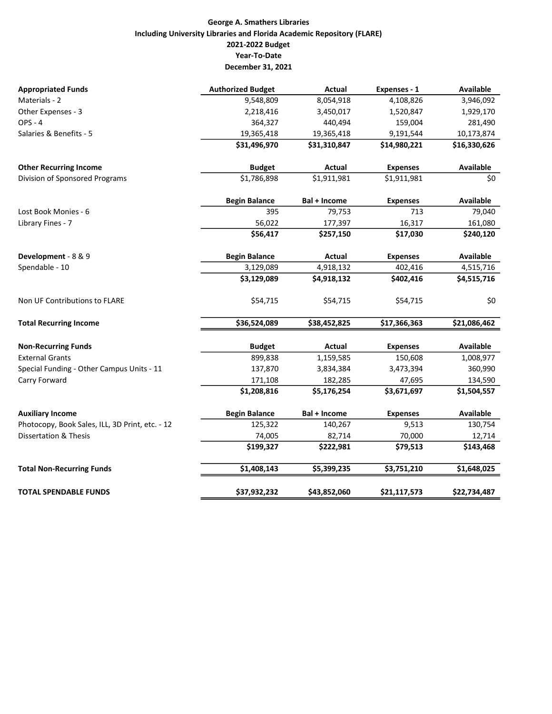## George A. Smathers Libraries Including University Libraries and Florida Academic Repository (FLARE) 2021-2022 Budget Year-To-Date December 31, 2021

| <b>Appropriated Funds</b>                       | <b>Authorized Budget</b> | <b>Actual</b> | Expenses - 1    | <b>Available</b> |
|-------------------------------------------------|--------------------------|---------------|-----------------|------------------|
| Materials - 2                                   | 9,548,809                | 8,054,918     | 4,108,826       | 3,946,092        |
| Other Expenses - 3                              | 2,218,416                | 3,450,017     | 1,520,847       | 1,929,170        |
| $OPS - 4$                                       | 364,327                  | 440,494       | 159,004         | 281,490          |
| Salaries & Benefits - 5                         | 19,365,418               | 19,365,418    | 9,191,544       | 10,173,874       |
|                                                 | \$31,496,970             | \$31,310,847  | \$14,980,221    | \$16,330,626     |
| <b>Other Recurring Income</b>                   | <b>Budget</b>            | Actual        | <b>Expenses</b> | <b>Available</b> |
| Division of Sponsored Programs                  | \$1,786,898              | \$1,911,981   | \$1,911,981     | \$0              |
|                                                 | <b>Begin Balance</b>     | Bal + Income  | <b>Expenses</b> | <b>Available</b> |
| Lost Book Monies - 6                            | 395                      | 79,753        | 713             | 79,040           |
| Library Fines - 7                               | 56,022                   | 177,397       | 16,317          | 161,080          |
|                                                 | \$56,417                 | \$257,150     | \$17,030        | \$240,120        |
| Development - 8 & 9                             | <b>Begin Balance</b>     | Actual        | <b>Expenses</b> | <b>Available</b> |
| Spendable - 10                                  | 3,129,089                | 4,918,132     | 402,416         | 4,515,716        |
|                                                 | \$3,129,089              | \$4,918,132   | \$402,416       | \$4,515,716      |
| Non UF Contributions to FLARE                   | \$54,715                 | \$54,715      | \$54,715        | \$0              |
| <b>Total Recurring Income</b>                   | \$36,524,089             | \$38,452,825  | \$17,366,363    | \$21,086,462     |
| <b>Non-Recurring Funds</b>                      | <b>Budget</b>            | Actual        | <b>Expenses</b> | <b>Available</b> |
| <b>External Grants</b>                          | 899,838                  | 1,159,585     | 150,608         | 1,008,977        |
| Special Funding - Other Campus Units - 11       | 137,870                  | 3,834,384     | 3,473,394       | 360,990          |
| Carry Forward                                   | 171,108                  | 182,285       | 47,695          | 134,590          |
|                                                 | \$1,208,816              | \$5,176,254   | \$3,671,697     | \$1,504,557      |
| <b>Auxiliary Income</b>                         | <b>Begin Balance</b>     | Bal + Income  | <b>Expenses</b> | <b>Available</b> |
| Photocopy, Book Sales, ILL, 3D Print, etc. - 12 | 125,322                  | 140,267       | 9,513           | 130,754          |
| <b>Dissertation &amp; Thesis</b>                | 74,005                   | 82,714        | 70,000          | 12,714           |
|                                                 | \$199,327                | \$222,981     | \$79,513        | \$143,468        |
| <b>Total Non-Recurring Funds</b>                | \$1,408,143              | \$5,399,235   | \$3,751,210     | \$1,648,025      |
| <b>TOTAL SPENDABLE FUNDS</b>                    | \$37,932,232             | \$43,852,060  | \$21,117,573    | \$22,734,487     |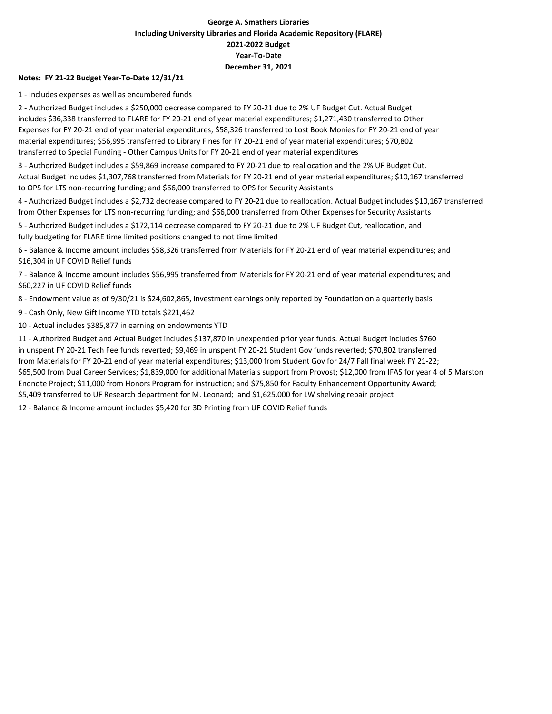## George A. Smathers Libraries Including University Libraries and Florida Academic Repository (FLARE) 2021-2022 Budget Year-To-Date December 31, 2021

#### Notes: FY 21-22 Budget Year-To-Date 12/31/21

1 - Includes expenses as well as encumbered funds

2 - Authorized Budget includes a \$250,000 decrease compared to FY 20-21 due to 2% UF Budget Cut. Actual Budget includes \$36,338 transferred to FLARE for FY 20-21 end of year material expenditures; \$1,271,430 transferred to Other Expenses for FY 20-21 end of year material expenditures; \$58,326 transferred to Lost Book Monies for FY 20-21 end of year material expenditures; \$56,995 transferred to Library Fines for FY 20-21 end of year material expenditures; \$70,802 transferred to Special Funding - Other Campus Units for FY 20-21 end of year material expenditures

3 - Authorized Budget includes a \$59,869 increase compared to FY 20-21 due to reallocation and the 2% UF Budget Cut. Actual Budget includes \$1,307,768 transferred from Materials for FY 20-21 end of year material expenditures; \$10,167 transferred to OPS for LTS non-recurring funding; and \$66,000 transferred to OPS for Security Assistants

4 - Authorized Budget includes a \$2,732 decrease compared to FY 20-21 due to reallocation. Actual Budget includes \$10,167 transferred from Other Expenses for LTS non-recurring funding; and \$66,000 transferred from Other Expenses for Security Assistants

5 - Authorized Budget includes a \$172,114 decrease compared to FY 20-21 due to 2% UF Budget Cut, reallocation, and fully budgeting for FLARE time limited positions changed to not time limited

6 - Balance & Income amount includes \$58,326 transferred from Materials for FY 20-21 end of year material expenditures; and \$16,304 in UF COVID Relief funds

7 - Balance & Income amount includes \$56,995 transferred from Materials for FY 20-21 end of year material expenditures; and \$60,227 in UF COVID Relief funds

8 - Endowment value as of 9/30/21 is \$24,602,865, investment earnings only reported by Foundation on a quarterly basis

9 - Cash Only, New Gift Income YTD totals \$221,462

10 - Actual includes \$385,877 in earning on endowments YTD

11 - Authorized Budget and Actual Budget includes \$137,870 in unexpended prior year funds. Actual Budget includes \$760 in unspent FY 20-21 Tech Fee funds reverted; \$9,469 in unspent FY 20-21 Student Gov funds reverted; \$70,802 transferred from Materials for FY 20-21 end of year material expenditures; \$13,000 from Student Gov for 24/7 Fall final week FY 21-22; \$65,500 from Dual Career Services; \$1,839,000 for additional Materials support from Provost; \$12,000 from IFAS for year 4 of 5 Marston Endnote Project; \$11,000 from Honors Program for instruction; and \$75,850 for Faculty Enhancement Opportunity Award; \$5,409 transferred to UF Research department for M. Leonard; and \$1,625,000 for LW shelving repair project

12 - Balance & Income amount includes \$5,420 for 3D Printing from UF COVID Relief funds